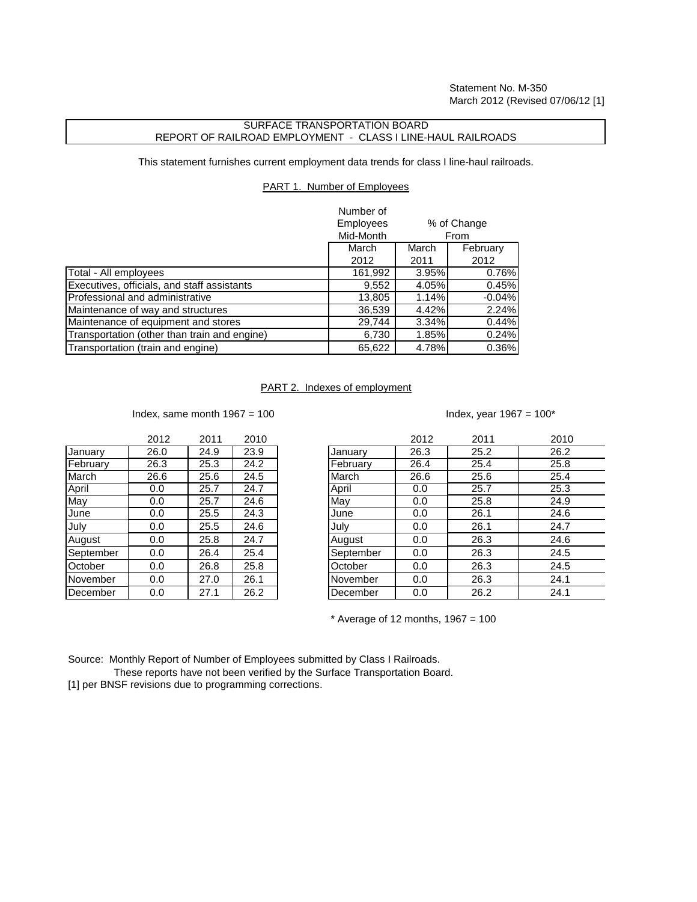Statement No. M-350 March 2012 (Revised 07/06/12 [1]

## SURFACE TRANSPORTATION BOARD REPORT OF RAILROAD EMPLOYMENT - CLASS I LINE-HAUL RAILROADS

This statement furnishes current employment data trends for class I line-haul railroads.

## PART 1. Number of Employees

|                                              | Number of<br><b>Employees</b><br>Mid-Month |       | % of Change<br>From |  |
|----------------------------------------------|--------------------------------------------|-------|---------------------|--|
|                                              | March                                      | March | February            |  |
|                                              | 2012                                       | 2011  | 2012                |  |
| Total - All employees                        | 161,992                                    | 3.95% | 0.76%               |  |
| Executives, officials, and staff assistants  | 9,552                                      | 4.05% | 0.45%               |  |
| Professional and administrative              | 13,805                                     | 1.14% | $-0.04%$            |  |
| Maintenance of way and structures            | 36,539                                     | 4.42% | 2.24%               |  |
| Maintenance of equipment and stores          | 29,744                                     | 3.34% | 0.44%               |  |
| Transportation (other than train and engine) | 6,730                                      | 1.85% | 0.24%               |  |
| Transportation (train and engine)            | 65,622                                     | 4.78% | 0.36%               |  |

## PART 2. Indexes of employment

Index, same month  $1967 = 100$  Index, year  $1967 = 100^*$ 

|           | 2012 | 2011 | 2010 |
|-----------|------|------|------|
| January   | 26.0 | 24.9 | 23.9 |
| February  | 26.3 | 25.3 | 24.2 |
| March     | 26.6 | 25.6 | 24.5 |
| April     | 0.0  | 25.7 | 24.7 |
| May       | 0.0  | 25.7 | 24.6 |
| June      | 0.0  | 25.5 | 24.3 |
| July      | 0.0  | 25.5 | 24.6 |
| August    | 0.0  | 25.8 | 24.7 |
| September | 0.0  | 26.4 | 25.4 |
| October   | 0.0  | 26.8 | 25.8 |
| November  | 0.0  | 27.0 | 26.1 |
| December  | 0.0  | 27.1 | 26.2 |

|           | 2012 | 2011 | 2010 |           | 2012 | 2011 | 2010 |
|-----------|------|------|------|-----------|------|------|------|
| January   | 26.0 | 24.9 | 23.9 | January   | 26.3 | 25.2 | 26.2 |
| February  | 26.3 | 25.3 | 24.2 | February  | 26.4 | 25.4 | 25.8 |
| March     | 26.6 | 25.6 | 24.5 | March     | 26.6 | 25.6 | 25.4 |
| April     | 0.0  | 25.7 | 24.7 | April     | 0.0  | 25.7 | 25.3 |
| May       | 0.0  | 25.7 | 24.6 | May       | 0.0  | 25.8 | 24.9 |
| June      | 0.0  | 25.5 | 24.3 | June      | 0.0  | 26.1 | 24.6 |
| July      | 0.0  | 25.5 | 24.6 | July      | 0.0  | 26.1 | 24.7 |
| August    | 0.0  | 25.8 | 24.7 | August    | 0.0  | 26.3 | 24.6 |
| September | 0.0  | 26.4 | 25.4 | September | 0.0  | 26.3 | 24.5 |
| October   | 0.0  | 26.8 | 25.8 | October   | 0.0  | 26.3 | 24.5 |
| November  | 0.0  | 27.0 | 26.1 | November  | 0.0  | 26.3 | 24.1 |
| December  | 0.0  | 27.1 | 26.2 | December  | 0.0  | 26.2 | 24.1 |
|           |      |      |      |           |      |      |      |

 $*$  Average of 12 months, 1967 = 100

Source: Monthly Report of Number of Employees submitted by Class I Railroads.

These reports have not been verified by the Surface Transportation Board.

[1] per BNSF revisions due to programming corrections.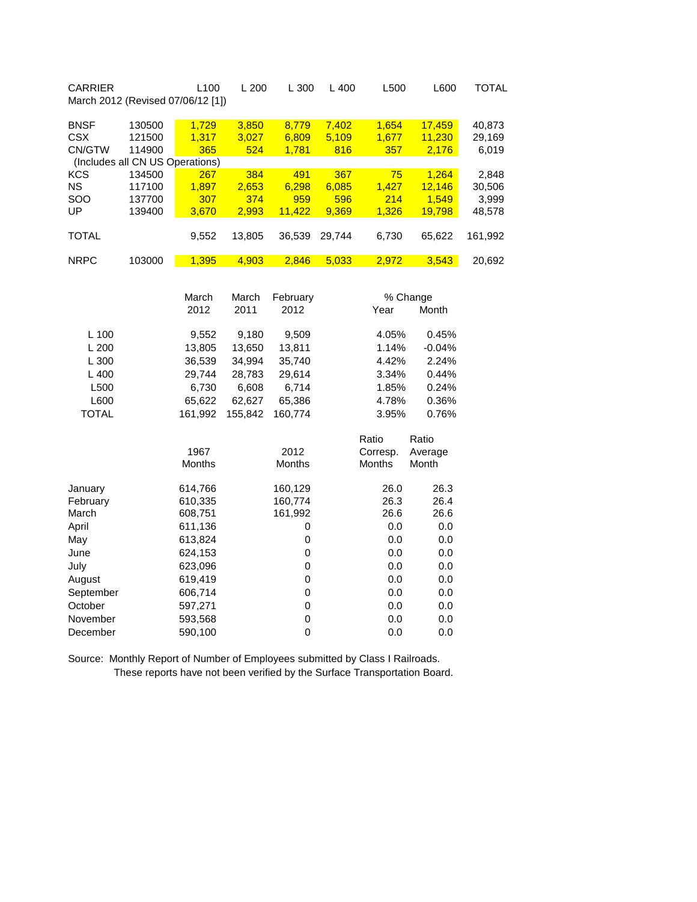| <b>CARRIER</b><br>March 2012 (Revised 07/06/12 [1])                    |                                      | L100                                     | L 200                        | L 300                              | L 400                        | L500                        | L600                               | <b>TOTAL</b>                       |
|------------------------------------------------------------------------|--------------------------------------|------------------------------------------|------------------------------|------------------------------------|------------------------------|-----------------------------|------------------------------------|------------------------------------|
| <b>BNSF</b><br><b>CSX</b><br>CN/GTW<br>(Includes all CN US Operations) | 130500<br>121500<br>114900           | 1,729<br>1,317<br>365                    | 3,850<br>3,027<br>524        | 8,779<br>6,809<br>1,781            | 7,402<br>5,109<br>816        | 1,654<br>1,677<br>357       | 17,459<br>11,230<br>2,176          | 40,873<br>29,169<br>6,019          |
| <b>KCS</b><br><b>NS</b><br>SOO<br>UP                                   | 134500<br>117100<br>137700<br>139400 | 267<br>1,897<br>307<br>3,670             | 384<br>2,653<br>374<br>2,993 | 491<br>6,298<br>959<br>11,422      | 367<br>6,085<br>596<br>9,369 | 75<br>1,427<br>214<br>1,326 | 1,264<br>12,146<br>1,549<br>19,798 | 2,848<br>30,506<br>3,999<br>48,578 |
| <b>TOTAL</b>                                                           |                                      | 9,552                                    | 13,805                       | 36,539                             | 29,744                       | 6,730                       | 65,622                             | 161,992                            |
| <b>NRPC</b>                                                            | 103000                               | 1,395                                    | 4,903                        | 2,846                              | 5,033                        | 2,972                       | 3,543                              | 20,692                             |
|                                                                        |                                      | March<br>2012                            | March<br>2011                | February<br>2012                   |                              | Year                        | % Change<br>Month                  |                                    |
| L 100<br>L 200                                                         |                                      | 9,552<br>13,805                          | 9,180<br>13,650              | 9,509<br>13,811                    |                              | 4.05%<br>1.14%              | 0.45%<br>$-0.04%$                  |                                    |
| L 300<br>L 400                                                         |                                      | 36,539<br>29,744                         | 34,994<br>28,783             | 35,740<br>29,614                   |                              | 4.42%<br>3.34%              | 2.24%<br>0.44%                     |                                    |
| L500<br>L600<br><b>TOTAL</b>                                           |                                      | 6,730<br>65,622<br>161,992               | 6,608<br>62,627<br>155,842   | 6,714<br>65,386<br>160,774         |                              | 1.85%<br>4.78%<br>3.95%     | 0.24%<br>0.36%<br>0.76%            |                                    |
|                                                                        |                                      | 1967<br>Months                           |                              | 2012<br>Months                     |                              | Ratio<br>Corresp.<br>Months | Ratio<br>Average<br>Month          |                                    |
| January<br>February<br>March<br>April                                  |                                      | 614,766<br>610,335<br>608,751<br>611,136 |                              | 160,129<br>160,774<br>161,992<br>0 |                              | 26.0<br>26.3<br>26.6<br>0.0 | 26.3<br>26.4<br>26.6<br>0.0        |                                    |
| May<br>June                                                            |                                      | 613,824<br>624,153                       |                              | $\mathbf 0$<br>0                   |                              | 0.0<br>0.0                  | 0.0<br>0.0                         |                                    |
| July<br>August                                                         |                                      | 623,096<br>619,419                       |                              | $\mathsf 0$<br>$\mathbf 0$         |                              | 0.0<br>0.0                  | 0.0<br>0.0                         |                                    |
| September<br>October                                                   |                                      | 606,714<br>597,271                       |                              | $\mathbf 0$<br>$\mathbf 0$         |                              | 0.0<br>0.0                  | 0.0<br>0.0                         |                                    |
| November<br>December                                                   |                                      | 593,568<br>590,100                       |                              | $\mathbf 0$<br>$\mathbf 0$         |                              | 0.0<br>0.0                  | 0.0<br>0.0                         |                                    |

Source: Monthly Report of Number of Employees submitted by Class I Railroads. These reports have not been verified by the Surface Transportation Board.